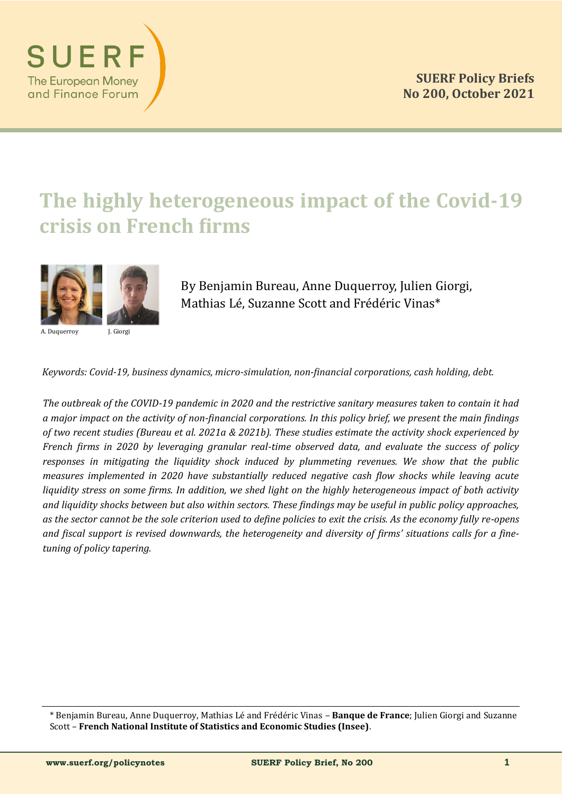

# **The highly heterogeneous impact of the Covid-19 crisis on French firms**



A. Duquerroy J. Giorgi

By Benjamin Bureau, Anne Duquerroy, Julien Giorgi, Mathias Lé, Suzanne Scott and Frédéric Vinas\*

*Keywords: Covid-19, business dynamics, micro-simulation, non-financial corporations, cash holding, debt.*

*The outbreak of the COVID-19 pandemic in 2020 and the restrictive sanitary measures taken to contain it had a major impact on the activity of non-financial corporations. In this policy brief, we present the main findings of two recent studies (Bureau et al. 2021a & 2021b). These studies estimate the activity shock experienced by French firms in 2020 by leveraging granular real-time observed data, and evaluate the success of policy responses in mitigating the liquidity shock induced by plummeting revenues. We show that the public measures implemented in 2020 have substantially reduced negative cash flow shocks while leaving acute liquidity stress on some firms. In addition, we shed light on the highly heterogeneous impact of both activity and liquidity shocks between but also within sectors. These findings may be useful in public policy approaches, as the sector cannot be the sole criterion used to define policies to exit the crisis. As the economy fully re-opens and fiscal support is revised downwards, the heterogeneity and diversity of firms' situations calls for a finetuning of policy tapering.*

\* Benjamin Bureau, Anne Duquerroy, Mathias Le and Fre de ric Vinas – **Banque de France**; Julien Giorgi and Suzanne Scott – **French National Institute of Statistics and Economic Studies (Insee)**.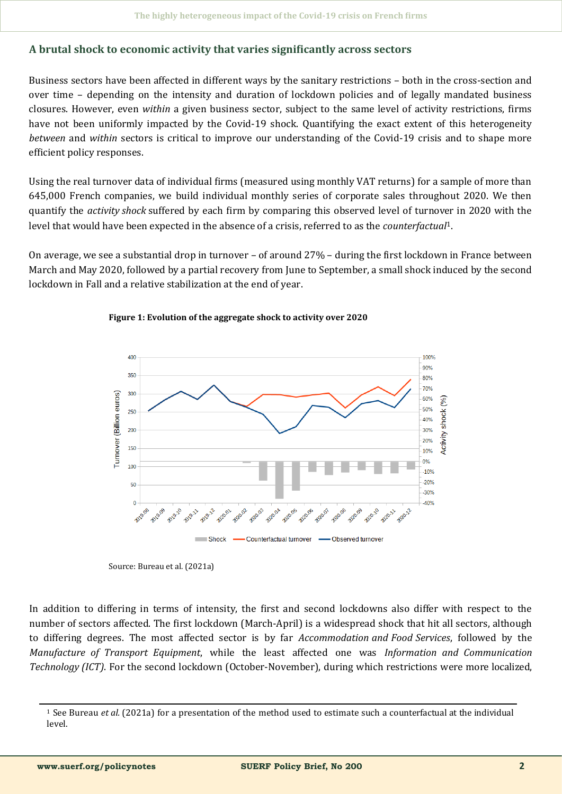## **A brutal shock to economic activity that varies significantly across sectors**

Business sectors have been affected in different ways by the sanitary restrictions – both in the cross-section and over time – depending on the intensity and duration of lockdown policies and of legally mandated business closures. However, even *within* a given business sector, subject to the same level of activity restrictions, firms have not been uniformly impacted by the Covid-19 shock. Quantifying the exact extent of this heterogeneity *between* and *within* sectors is critical to improve our understanding of the Covid-19 crisis and to shape more efficient policy responses.

Using the real turnover data of individual firms (measured using monthly VAT returns) for a sample of more than 645,000 French companies, we build individual monthly series of corporate sales throughout 2020. We then quantify the *activity shock* suffered by each firm by comparing this observed level of turnover in 2020 with the level that would have been expected in the absence of a crisis, referred to as the *counterfactual*1.

On average, we see a substantial drop in turnover – of around 27% – during the first lockdown in France between March and May 2020, followed by a partial recovery from June to September, a small shock induced by the second lockdown in Fall and a relative stabilization at the end of year.



#### **Figure 1: Evolution of the aggregate shock to activity over 2020**

In addition to differing in terms of intensity, the first and second lockdowns also differ with respect to the number of sectors affected. The first lockdown (March-April) is a widespread shock that hit all sectors, although to differing degrees. The most affected sector is by far *Accommodation and Food Services*, followed by the *Manufacture of Transport Equipment*, while the least affected one was *Information and Communication Technology (ICT)*. For the second lockdown (October-November), during which restrictions were more localized,

Source: Bureau et al. (2021a)

<sup>&</sup>lt;sup>1</sup> See Bureau *et al.* (2021a) for a presentation of the method used to estimate such a counterfactual at the individual level.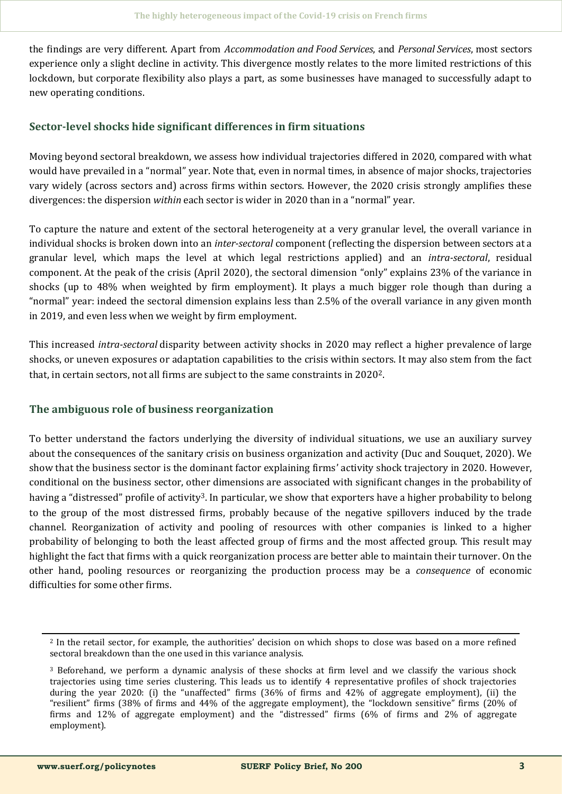the findings are very different. Apart from *Accommodation and Food Services*, and *Personal Services*, most sectors experience only a slight decline in activity. This divergence mostly relates to the more limited restrictions of this lockdown, but corporate flexibility also plays a part, as some businesses have managed to successfully adapt to new operating conditions.

## **Sector-level shocks hide significant differences in firm situations**

Moving beyond sectoral breakdown, we assess how individual trajectories differed in 2020, compared with what would have prevailed in a "normal" year. Note that, even in normal times, in absence of major shocks, trajectories vary widely (across sectors and) across firms within sectors. However, the 2020 crisis strongly amplifies these divergences: the dispersion *within* each sector is wider in 2020 than in a "normal" year.

To capture the nature and extent of the sectoral heterogeneity at a very granular level, the overall variance in individual shocks is broken down into an *inter-sectoral* component (reflecting the dispersion between sectors at a granular level, which maps the level at which legal restrictions applied) and an *intra-sectoral*, residual component. At the peak of the crisis (April 2020), the sectoral dimension "only" explains 23% of the variance in shocks (up to 48% when weighted by firm employment). It plays a much bigger role though than during a "normal" year: indeed the sectoral dimension explains less than 2.5% of the overall variance in any given month in 2019, and even less when we weight by firm employment.

This increased *intra-sectoral* disparity between activity shocks in 2020 may reflect a higher prevalence of large shocks, or uneven exposures or adaptation capabilities to the crisis within sectors. It may also stem from the fact that, in certain sectors, not all firms are subject to the same constraints in 20202.

## **The ambiguous role of business reorganization**

To better understand the factors underlying the diversity of individual situations, we use an auxiliary survey about the consequences of the sanitary crisis on business organization and activity (Duc and Souquet, 2020). We show that the business sector is the dominant factor explaining firms' activity shock trajectory in 2020. However, conditional on the business sector, other dimensions are associated with significant changes in the probability of having a "distressed" profile of activity<sup>3</sup>. In particular, we show that exporters have a higher probability to belong to the group of the most distressed firms, probably because of the negative spillovers induced by the trade channel. Reorganization of activity and pooling of resources with other companies is linked to a higher probability of belonging to both the least affected group of firms and the most affected group. This result may highlight the fact that firms with a quick reorganization process are better able to maintain their turnover. On the other hand, pooling resources or reorganizing the production process may be a *consequence* of economic difficulties for some other firms.

<sup>2</sup> In the retail sector, for example, the authorities' decision on which shops to close was based on a more refined sectoral breakdown than the one used in this variance analysis.

<sup>3</sup> Beforehand, we perform a dynamic analysis of these shocks at firm level and we classify the various shock trajectories using time series clustering. This leads us to identify 4 representative profiles of shock trajectories during the year 2020: (i) the "unaffected" firms (36% of firms and 42% of aggregate employment), (ii) the "resilient" firms (38% of firms and 44% of the aggregate employment), the "lockdown sensitive" firms (20% of firms and 12% of aggregate employment) and the "distressed" firms (6% of firms and 2% of aggregate employment).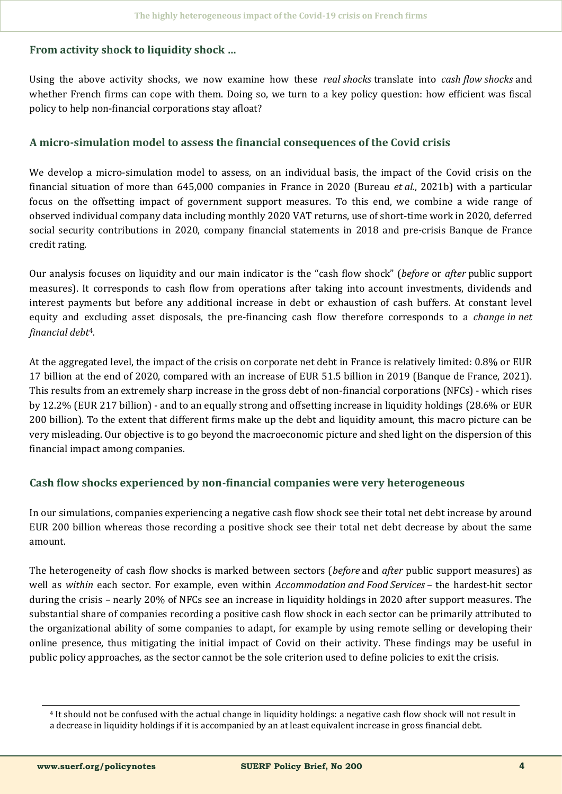## **From activity shock to liquidity shock …**

Using the above activity shocks, we now examine how these *real shocks* translate into *cash flow shocks* and whether French firms can cope with them. Doing so, we turn to a key policy question: how efficient was fiscal policy to help non-financial corporations stay afloat?

### **A micro-simulation model to assess the financial consequences of the Covid crisis**

We develop a micro-simulation model to assess, on an individual basis, the impact of the Covid crisis on the financial situation of more than 645,000 companies in France in 2020 (Bureau *et al.*, 2021b) with a particular focus on the offsetting impact of government support measures. To this end, we combine a wide range of observed individual company data including monthly 2020 VAT returns, use of short-time work in 2020, deferred social security contributions in 2020, company financial statements in 2018 and pre-crisis Banque de France credit rating.

Our analysis focuses on liquidity and our main indicator is the "cash flow shock" (*before* or *after* public support measures). It corresponds to cash flow from operations after taking into account investments, dividends and interest payments but before any additional increase in debt or exhaustion of cash buffers. At constant level equity and excluding asset disposals, the pre-financing cash flow therefore corresponds to a *change in net financial debt*4.

At the aggregated level, the impact of the crisis on corporate net debt in France is relatively limited: 0.8% or EUR 17 billion at the end of 2020, compared with an increase of EUR 51.5 billion in 2019 (Banque de France, 2021). This results from an extremely sharp increase in the gross debt of non-financial corporations (NFCs) - which rises by 12.2% (EUR 217 billion) - and to an equally strong and offsetting increase in liquidity holdings (28.6% or EUR 200 billion). To the extent that different firms make up the debt and liquidity amount, this macro picture can be very misleading. Our objective is to go beyond the macroeconomic picture and shed light on the dispersion of this financial impact among companies.

## **Cash flow shocks experienced by non-financial companies were very heterogeneous**

In our simulations, companies experiencing a negative cash flow shock see their total net debt increase by around EUR 200 billion whereas those recording a positive shock see their total net debt decrease by about the same amount.

The heterogeneity of cash flow shocks is marked between sectors (*before* and *after* public support measures) as well as *within* each sector. For example, even within *Accommodation and Food Services* – the hardest-hit sector during the crisis – nearly 20% of NFCs see an increase in liquidity holdings in 2020 after support measures. The substantial share of companies recording a positive cash flow shock in each sector can be primarily attributed to the organizational ability of some companies to adapt, for example by using remote selling or developing their online presence, thus mitigating the initial impact of Covid on their activity. These findings may be useful in public policy approaches, as the sector cannot be the sole criterion used to define policies to exit the crisis.

<sup>4</sup> It should not be confused with the actual change in liquidity holdings: a negative cash flow shock will not result in a decrease in liquidity holdings if it is accompanied by an at least equivalent increase in gross financial debt.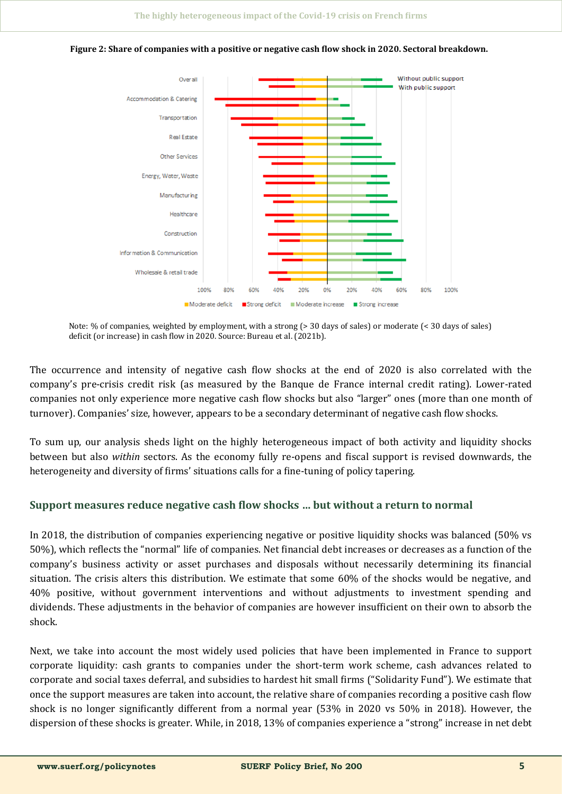

**Figure 2: Share of companies with a positive or negative cash flow shock in 2020. Sectoral breakdown.**

Note: % of companies, weighted by employment, with a strong (> 30 days of sales) or moderate (< 30 days of sales) deficit (or increase) in cash flow in 2020. Source: Bureau et al. (2021b).

The occurrence and intensity of negative cash flow shocks at the end of 2020 is also correlated with the company's pre-crisis credit risk (as measured by the Banque de France internal credit rating). Lower-rated companies not only experience more negative cash flow shocks but also "larger" ones (more than one month of turnover). Companies' size, however, appears to be a secondary determinant of negative cash flow shocks.

To sum up, our analysis sheds light on the highly heterogeneous impact of both activity and liquidity shocks between but also *within* sectors. As the economy fully re-opens and fiscal support is revised downwards, the heterogeneity and diversity of firms' situations calls for a fine-tuning of policy tapering.

## **Support measures reduce negative cash flow shocks … but without a return to normal**

In 2018, the distribution of companies experiencing negative or positive liquidity shocks was balanced (50% vs 50%), which reflects the "normal" life of companies. Net financial debt increases or decreases as a function of the company's business activity or asset purchases and disposals without necessarily determining its financial situation. The crisis alters this distribution. We estimate that some 60% of the shocks would be negative, and 40% positive, without government interventions and without adjustments to investment spending and dividends. These adjustments in the behavior of companies are however insufficient on their own to absorb the shock.

Next, we take into account the most widely used policies that have been implemented in France to support corporate liquidity: cash grants to companies under the short-term work scheme, cash advances related to corporate and social taxes deferral, and subsidies to hardest hit small firms ("Solidarity Fund"). We estimate that once the support measures are taken into account, the relative share of companies recording a positive cash flow shock is no longer significantly different from a normal year (53% in 2020 vs 50% in 2018). However, the dispersion of these shocks is greater. While, in 2018, 13% of companies experience a "strong" increase in net debt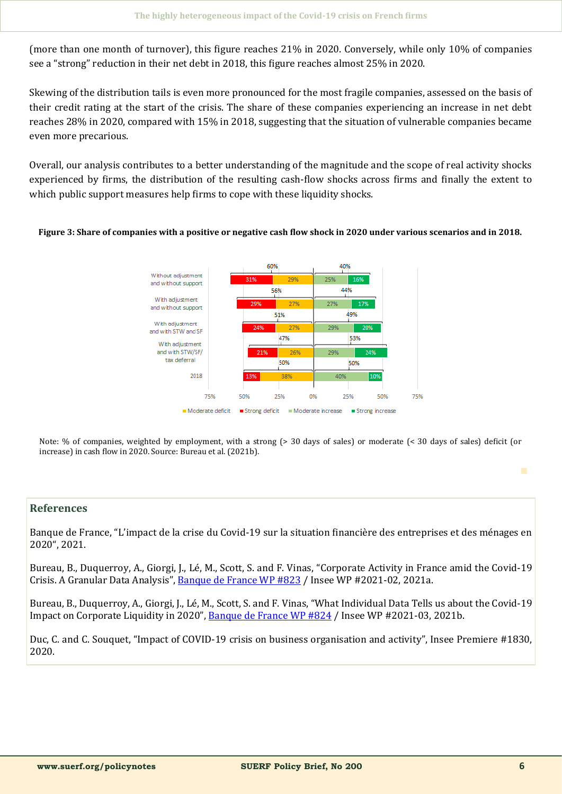(more than one month of turnover), this figure reaches 21% in 2020. Conversely, while only 10% of companies see a "strong" reduction in their net debt in 2018, this figure reaches almost 25% in 2020.

Skewing of the distribution tails is even more pronounced for the most fragile companies, assessed on the basis of their credit rating at the start of the crisis. The share of these companies experiencing an increase in net debt reaches 28% in 2020, compared with 15% in 2018, suggesting that the situation of vulnerable companies became even more precarious.

Overall, our analysis contributes to a better understanding of the magnitude and the scope of real activity shocks experienced by firms, the distribution of the resulting cash-flow shocks across firms and finally the extent to which public support measures help firms to cope with these liquidity shocks.

#### **Figure 3: Share of companies with a positive or negative cash flow shock in 2020 under various scenarios and in 2018.**



Note: % of companies, weighted by employment, with a strong (> 30 days of sales) or moderate (< 30 days of sales) deficit (or increase) in cash flow in 2020. Source: Bureau et al. (2021b).

#### **References**

Banque de France, "L'impact de la crise du Covid-19 sur la situation financière des entreprises et des ménages en 2020", 2021.

Bureau, B., Duquerroy, A., Giorgi, J., Lé, M., Scott, S. and F. Vinas, "Corporate Activity in France amid the Covid-19 Crisis. A Granular Data Analysis", [Banque de France WP #823](https://publications.banque-france.fr/en/corporate-activity-france-amid-covid-19-crisis-granular-data-analysis) / Insee WP #2021-02, 2021a.

Bureau, B., Duquerroy, A., Giorgi, J., Lé, M., Scott, S. and F. Vinas, "What Individual Data Tells us about the Covid-19 Impact on Corporate Liquidity in 2020", [Banque de France WP #824](https://publications.banque-france.fr/sites/default/files/medias/documents/wp824.pdf) / Insee WP #2021-03, 2021b.

Duc, C. and C. Souquet, "Impact of COVID-19 crisis on business organisation and activity", Insee Premiere #1830, 2020.